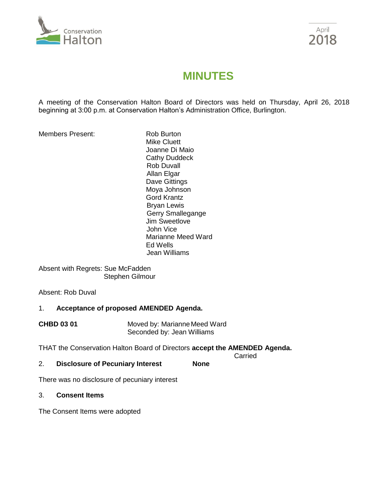



# **MINUTES**

A meeting of the Conservation Halton Board of Directors was held on Thursday, April 26, 2018 beginning at 3:00 p.m. at Conservation Halton's Administration Office, Burlington.

Members Present: Rob Burton

Mike Cluett Joanne Di Maio Cathy Duddeck Rob Duvall Allan Elgar Dave Gittings Moya Johnson Gord Krantz Bryan Lewis Gerry Smallegange Jim Sweetlove John Vice Marianne Meed Ward Ed Wells Jean Williams

Absent with Regrets: Sue McFadden Stephen Gilmour

Absent: Rob Duval

# 1. **Acceptance of proposed AMENDED Agenda.**

**CHBD 03 01** Moved by: Marianne Meed Ward Seconded by: Jean Williams

THAT the Conservation Halton Board of Directors **accept the AMENDED Agenda.**

Carried

2. **Disclosure of Pecuniary Interest None**

There was no disclosure of pecuniary interest

#### 3. **Consent Items**

The Consent Items were adopted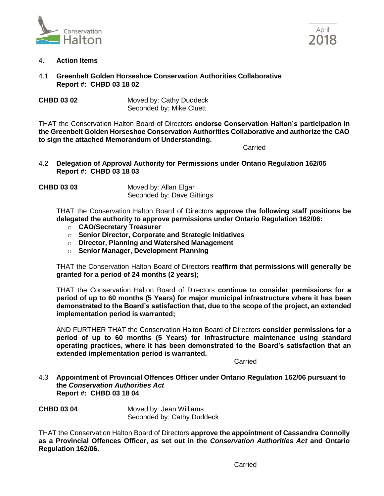



- 4. **Action Items**
- 4.1 **Greenbelt Golden Horseshoe Conservation Authorities Collaborative Report #: CHBD 03 18 02**

**CHBD 03 02** Moved by: Cathy Duddeck Seconded by: Mike Cluett

THAT the Conservation Halton Board of Directors **endorse Conservation Halton's participation in the Greenbelt Golden Horseshoe Conservation Authorities Collaborative and authorize the CAO to sign the attached Memorandum of Understanding.**

Carried

- 4.2 **Delegation of Approval Authority for Permissions under Ontario Regulation 162/05 Report #: CHBD 03 18 03**
- **CHBD 03 03** Moved by: Allan Elgar Seconded by: Dave Gittings

THAT the Conservation Halton Board of Directors **approve the following staff positions be delegated the authority to approve permissions under Ontario Regulation 162/06:**

- o **CAO/Secretary Treasurer**
- o **Senior Director, Corporate and Strategic Initiatives**
- o **Director, Planning and Watershed Management**
- o **Senior Manager, Development Planning**

THAT the Conservation Halton Board of Directors **reaffirm that permissions will generally be granted for a period of 24 months (2 years);**

THAT the Conservation Halton Board of Directors **continue to consider permissions for a period of up to 60 months (5 Years) for major municipal infrastructure where it has been demonstrated to the Board's satisfaction that, due to the scope of the project, an extended implementation period is warranted;**

AND FURTHER THAT the Conservation Halton Board of Directors **consider permissions for a period of up to 60 months (5 Years) for infrastructure maintenance using standard operating practices, where it has been demonstrated to the Board's satisfaction that an extended implementation period is warranted.**

Carried

4.3 **Appointment of Provincial Offences Officer under Ontario Regulation 162/06 pursuant to the** *Conservation Authorities Act* **Report #: CHBD 03 18 04**

**CHBD 03 04** Moved by: Jean Williams Seconded by: Cathy Duddeck

THAT the Conservation Halton Board of Directors **approve the appointment of Cassandra Connolly as a Provincial Offences Officer, as set out in the** *Conservation Authorities Act* **and Ontario Regulation 162/06.**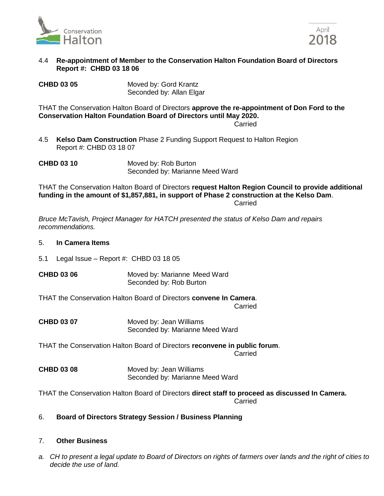



#### 4.4 **Re-appointment of Member to the Conservation Halton Foundation Board of Directors Report #: CHBD 03 18 06**

**CHBD 03 05** Moved by: Gord Krantz Seconded by: Allan Elgar

THAT the Conservation Halton Board of Directors **approve the re-appointment of Don Ford to the Conservation Halton Foundation Board of Directors until May 2020.**

**Carried** 

4.5 **Kelso Dam Construction** Phase 2 Funding Support Request to Halton Region Report #: CHBD 03 18 07

**CHBD 03 10** Moved by: Rob Burton Seconded by: Marianne Meed Ward

THAT the Conservation Halton Board of Directors **request Halton Region Council to provide additional funding in the amount of \$1,857,881, in support of Phase 2 construction at the Kelso Dam**. **Carried** 

*Bruce McTavish, Project Manager for HATCH presented the status of Kelso Dam and repairs recommendations.*

### 5. **In Camera Items**

5.1 Legal Issue – Report #: CHBD 03 18 05

**CHBD 03 06** Moved by: Marianne Meed Ward Seconded by: Rob Burton

THAT the Conservation Halton Board of Directors **convene In Camera**. **Carried** 

**CHBD 03 07** Moved by: Jean Williams Seconded by: Marianne Meed Ward

THAT the Conservation Halton Board of Directors **reconvene in public forum**. Carried

**CHBD 03 08** Moved by: Jean Williams Seconded by: Marianne Meed Ward

THAT the Conservation Halton Board of Directors **direct staff to proceed as discussed In Camera. Carried** 

# 6. **Board of Directors Strategy Session / Business Planning**

# 7. **Other Business**

*a. CH to present a legal update to Board of Directors on rights of farmers over lands and the right of cities to decide the use of land.*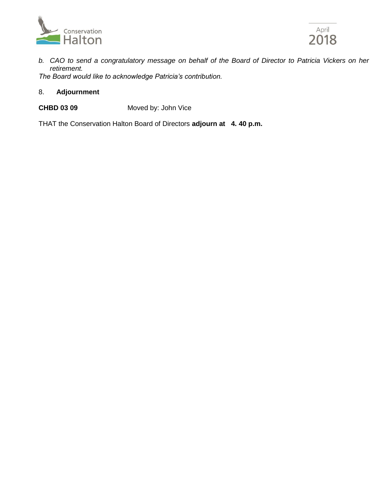



*b. CAO to send a congratulatory message on behalf of the Board of Director to Patricia Vickers on her retirement.*

*The Board would like to acknowledge Patricia's contribution.*

# 8. **Adjournment**

# **CHBD 03 09** Moved by: John Vice

THAT the Conservation Halton Board of Directors **adjourn at 4. 40 p.m.**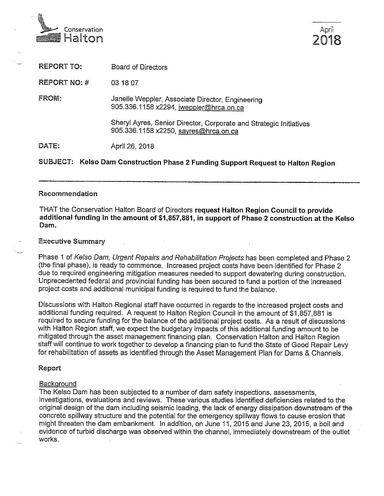



**REPORT TO: Board of Directors REPORT NO: #** 03 18 07 **FROM:** Janelle Weppler, Associate Director, Engineering 905.336.1158 x2294, jweppler@hrca.on.ca Sheryl Ayres, Senior Director, Corporate and Strategic Initiatives 905.336.1158 x2250, sayres@hrca.on.ca DATE: April 26, 2018 SUBJECT: Kelso Dam Construction Phase 2 Funding Support Request to Halton Region

#### Recommendation

THAT the Conservation Halton Board of Directors request Halton Region Council to provide additional funding in the amount of \$1,857,881, in support of Phase 2 construction at the Kelso Dam.

#### **Executive Summary**

Phase 1 of Kelso Dam, Urgent Repairs and Rehabilitation Projects has been completed and Phase 2 (the final phase), is ready to commence. Increased project costs have been identified for Phase 2 due to required engineering mitigation measures needed to support dewatering during construction. Unprecedented federal and provincial funding has been secured to fund a portion of the increased project costs and additional municipal funding is required to fund the balance.

Discussions with Halton Regional staff have occurred in regards to the increased project costs and additional funding required. A request to Halton Region Council in the amount of \$1,857,881 is required to secure funding for the balance of the additional project costs. As a result of discussions with Halton Region staff, we expect the budgetary impacts of this additional funding amount to be mitigated through the asset management financing plan. Conservation Halton and Halton Region staff will continue to work together to develop a financing plan to fund the State of Good Repair Levy for rehabilitation of assets as identified through the Asset Management Plan for Dams & Channels.

#### Report

#### Background

The Kelso Dam has been subjected to a number of dam safety inspections, assessments, investigations, evaluations and reviews. These various studies identified deficiencies related to the original design of the dam including seismic loading, the lack of energy dissipation downstream of the concrete spillway structure and the potential for the emergency spillway flows to cause erosion that might threaten the dam embankment. In addition, on June 11, 2015 and June 23, 2015, a boil and evidence of turbid discharge was observed within the channel, immediately downstream of the outlet works.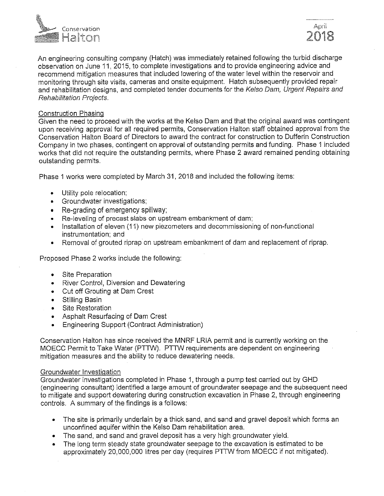

An engineering consulting company (Hatch) was immediately retained following the turbid discharge observation on June 11, 2015, to complete investigations and to provide engineering advice and recommend mitigation measures that included lowering of the water level within the reservoir and monitoring through site visits, cameras and onsite equipment. Hatch subsequently provided repair and rehabilitation designs, and completed tender documents for the Kelso Dam, Urgent Repairs and Rehabilitation Projects.

#### **Construction Phasing**

Given the need to proceed with the works at the Kelso Dam and that the original award was contingent upon receiving approval for all required permits. Conservation Halton staff obtained approval from the Conservation Halton Board of Directors to award the contract for construction to Dufferin Construction Company in two phases, contingent on approval of outstanding permits and funding. Phase 1 included works that did not require the outstanding permits, where Phase 2 award remained pending obtaining outstanding permits.

Phase 1 works were completed by March 31, 2018 and included the following items:

- Utility pole relocation;
- Groundwater investigations:
- Re-grading of emergency spillway;
- Re-leveling of precast slabs on upstream embankment of dam;
- Installation of eleven (11) new piezometers and decommissioning of non-functional instrumentation; and
- Removal of grouted riprap on upstream embankment of dam and replacement of riprap.  $\bullet$

Proposed Phase 2 works include the following:

- Site Preparation
- River Control, Diversion and Dewatering
- Cut off Grouting at Dam Crest
- Stilling Basin
- Site Restoration
- Asphalt Resurfacing of Dam Crest
- **Engineering Support (Contract Administration)**

Conservation Halton has since received the MNRF LRIA permit and is currently working on the MOECC Permit to Take Water (PTTW). PTTW requirements are dependent on engineering mitigation measures and the ability to reduce dewatering needs.

#### Groundwater Investigation

Groundwater investigations completed in Phase 1, through a pump test carried out by GHD (engineering consultant) identified a large amount of groundwater seepage and the subsequent need to mitigate and support dewatering during construction excavation in Phase 2, through engineering controls. A summary of the findings is a follows:

- The site is primarily underlain by a thick sand, and sand and gravel deposit which forms an unconfined aquifer within the Kelso Dam rehabilitation area.
- The sand, and sand and gravel deposit has a very high groundwater yield.
- The long term steady state groundwater seepage to the excavation is estimated to be approximately 20,000,000 litres per day (requires PTTW from MOECC if not mitigated).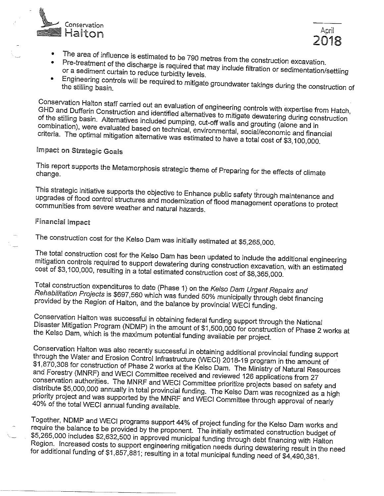



- The area of influence is estimated to be 790 metres from the construction excavation.
- Pre-treatment of the discharge is required that may include filtration or sedimentation/settling or a sediment curtain to reduce turbidity levels.
- Engineering controls will be required to mitigate groundwater takings during the construction of

Conservation Halton staff carried out an evaluation of engineering controls with expertise from Hatch, GHD and Dufferin Construction and identified alternatives to mitigate dewatering during construction of the stilling basin. Alternatives included pumping, cut-off walls and grouting (alone and in combination), were evaluated based on technical, environmental, social/economic and financial criteria. The optimal mitigation alternative was estimated to have a total cost of \$3,100,000.

# Impact on Strategic Goals

This report supports the Metamorphosis strategic theme of Preparing for the effects of climate

This strategic initiative supports the objective to Enhance public safety through maintenance and upgrades of flood control structures and modernization of flood management operations to protect communities from severe weather and natural hazards.

# **Financial Impact**

The construction cost for the Kelso Dam was initially estimated at \$5,265,000.

The total construction cost for the Kelso Dam has been updated to include the additional engineering mitigation controls required to support dewatering during construction excavation, with an estimated cost of \$3,100,000, resulting in a total estimated construction cost of \$8,365,000.

Total construction expenditures to date (Phase 1) on the Kelso Dam Urgent Repairs and Rehabilitation Projects is \$697,560 which was funded 50% municipally through debt financing provided by the Region of Halton, and the balance by provincial WECI funding.

Conservation Halton was successful in obtaining federal funding support through the National Disaster Mitigation Program (NDMP) in the amount of \$1,500,000 for construction of Phase 2 works at the Kelso Dam, which is the maximum potential funding available per project.

Conservation Halton was also recently successful in obtaining additional provincial funding support through the Water and Erosion Control Infrastructure (WECI) 2018-19 program in the amount of \$1,870,308 for construction of Phase 2 works at the Kelso Dam. The Ministry of Natural Resources and Forestry (MNRF) and WECI Committee received and reviewed 126 applications from 27 conservation authorities. The MNRF and WECI Committee prioritize projects based on safety and distribute \$5,000,000 annually in total provincial funding. The Kelso Dam was recognized as a high priority project and was supported by the MNRF and WECI Committee through approval of nearly 40% of the total WECI annual funding available.

Together, NDMP and WECI programs support 44% of project funding for the Kelso Dam works and require the balance to be provided by the proponent. The initially estimated construction budget of \$5,265,000 includes \$2,632,500 in approved municipal funding through debt financing with Halton Region. Increased costs to support engineering mitigation needs during dewatering result in the need for additional funding of \$1,857,881; resulting in a total municipal funding need of \$4,490,381.